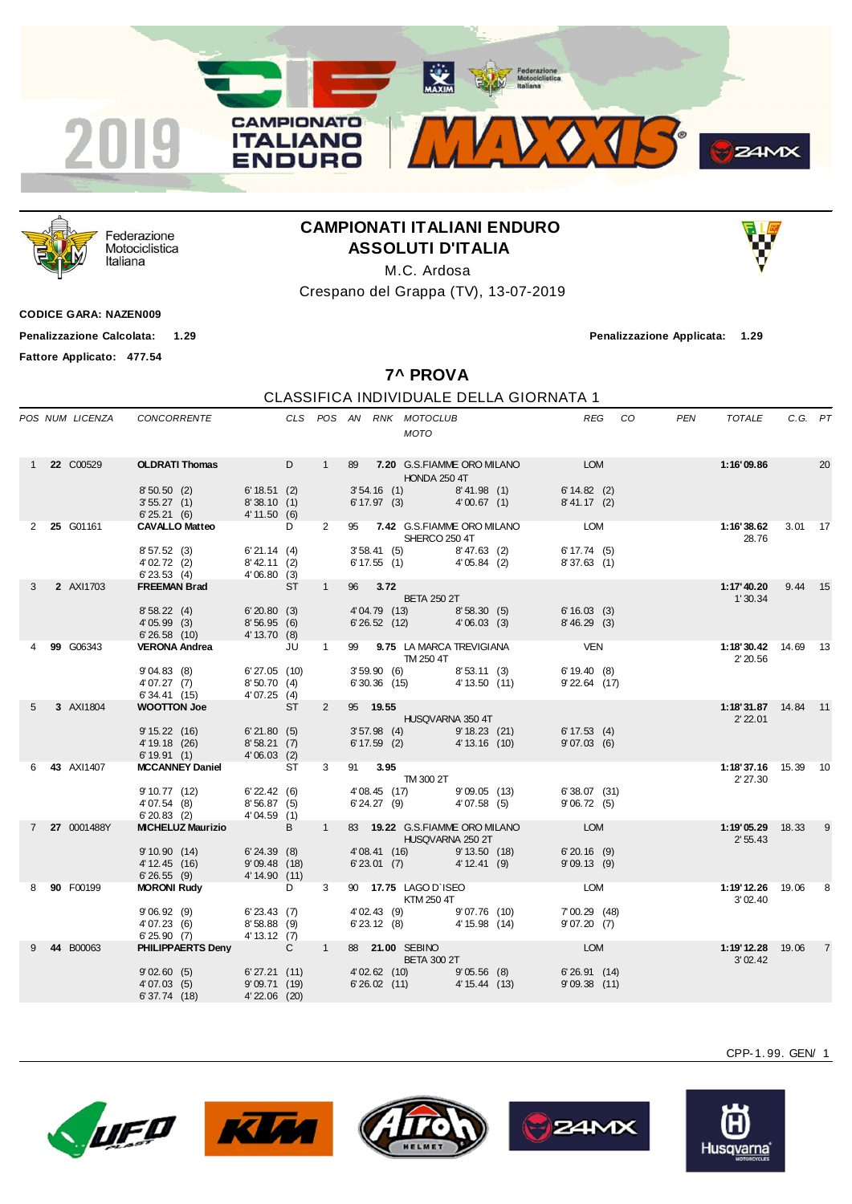



Federazione Motociclistica Italiana

## **CAMPIONATI ITALIANI ENDURO ASSOLUTI D'ITALIA**

M.C. Ardosa

Crespano del Grappa (TV), 13-07-2019

**CODICE GARA: NAZEN009**

**Fattore Applicato: 477.54**

**Penalizzazione Calcolata: 1.29 Penalizzazione Applicata: 1.29**

**7^ PROVA**

## CLASSIFICA INDIVIDUALE DELLA GIORNATA 1

|   |                    | POS NUM LICENZA CONCORRENTE                                                                                                                  |                                       |             |            | CLS POS AN RNK MOTOCLUB<br><b>MOTO</b>                                                                                                                                              | REG CO       | PEN<br>TOTALE                       | C.G. PT             |
|---|--------------------|----------------------------------------------------------------------------------------------------------------------------------------------|---------------------------------------|-------------|------------|-------------------------------------------------------------------------------------------------------------------------------------------------------------------------------------|--------------|-------------------------------------|---------------------|
|   | 1 <b>22</b> C00529 | <b>OLDRATI Thomas</b> D<br>8'50.50 (2) 6'18.51 (2)<br>3' 55.27 (1) 8' 38.10 (1)<br>6' 25.21 (6) 4' 11.50 (6)                                 |                                       |             |            | 1 89 7.20 G.S.FIAMME ORO MILANO LOM<br><b>HONDA 250 4T</b><br>3' 54.16 (1) 8' 41.98 (1) 6' 14.82 (2)<br>6' 17.97 (3) 4' 00.67 (1) 8' 41.17 (2)                                      |              | 1:16'09.86                          | 20                  |
|   | 2 25 G01161        | <b>CAVALLO Matteo</b><br>8'57.52 (3)<br>$402.72$ (3)<br>$623.53$ (4)<br>$623.53$ (4)<br>$406.80$ (3)<br>$842.11$ (2)<br>$406.80$ (3)<br>$87$ | <b>D</b><br>6'21.14(4)                | $2^{\circ}$ |            | 95 7.42 G.S.FIAMME ORO MILANO LOM<br>SHERCO 250 4T<br>3' 58.41 (5) 8' 47.63 (2) 6' 17.74 (5)<br>6' 17.55 (1) 4' 05.84 (2) 8' 37.63 (1)                                              |              | 1:16'38.62<br>28.76                 | 3.01 17             |
| 3 | 2 AXI1703          | 8' 58.22 (4) 6' 20.80 (3)<br>4' 05.99 (3) 8' 56.95 (6)<br>6' 26.58 (10) 4' 13.70 (8)                                                         |                                       | $1 -$       | 96 3.72    | <b>EXAMPLE DETA 250 2T</b><br>4'04.79 (13) 8'58.30 (5) 6'16.03 (3)<br>$6'26.52$ (12) $4'06.03$ (3)                                                                                  | 8'46.29(3)   | 1'30.34                             | 1:17'40.20 9.44 15  |
|   | 99 G06343          | VERONA Andrea JU<br>9'04.83 (8) 6'27.05 (10)<br>4'07.27 (7) 8'50.70 (4)<br>$6'34.41$ (15) $4'07.25$ (4)                                      |                                       | $\sim$ 1    |            | 99 9.75 LA MARCA TREVIGIANA VEN<br><b>TM 250 4T</b><br>3' 59.90 (6) 8' 53.11 (3) 6' 19.40 (8)<br>6' 30.36 (15) 4' 13.50 (11) 9' 22.64 (17)                                          | 9'22.64 (17) | 1:18'30.42 14.69 13<br>2'20.56      |                     |
| 5 | 3 AXI1804          | <b>WOOTTON Joe</b><br>9' 15.22 (16) 6' 21.80 (5)<br>4'19.18 (26) 8'58.21 (7)<br>6'19.91 (1) 4'06.03 (2)                                      | <b>ST</b>                             |             | 2 95 19.55 | HUSQVARNA 350 4T<br>3' 57.98 (4) 9' 18.23 (21) 6' 17.53 (4)<br>6' 17.59 (2) 4' 13.16 (10) 9' 07.03 (6)                                                                              |              | 2'22.01                             | 1:18'31.87 14.84 11 |
|   | 6 43 AXI1407       | <b>MCCANNEY Daniel</b><br>9' 10.77 (12) 6' 22.42 (6)<br>4' 07.54 (8)<br>$6'20.83$ (2)                                                        | <b>ST</b><br>8'56.87(5)<br>4'04.59(1) |             | 3 91 3.95  | TM 300 2T<br>$\begin{array}{lllllll} 4' \, 08.45 & (17) & & 9' \, 09.05 & (13) & & 6' \, 38.07 & (31) \\ 6' \, 24.27 & (9) & & 4' \, 07.58 & (5) & & 9' \, 06.72 & (5) \end{array}$ |              | 2' 27.30                            | 1:18'37.16 15.39 10 |
|   | 7 27 0001488Y      | <b>MICHELUZ Maurizio</b> B 1<br>9' 10.90 (14) 6' 24.39 (8)<br>4' 12.45 (16) 9' 09.48 (18)<br>6' 26.55 (9) 4' 14.90 (11)                      |                                       |             |            | 83 19.22 G.S.FIAMME ORO MILANO<br><b>HUSQVARNA 250 2T</b><br>4'08.41 (16) 9'13.50 (18) 6'20.16 (9)<br>6'23.01 (7) 4'12.41 (9) 9'09.13 (9)                                           | <b>LOM</b>   | <b>1:19'05.29</b> 18.33<br>2' 55.43 | 9                   |
| 8 | 90 F00199          | <b>MORONI Rudy</b><br>$9'06.92(9)$ 6'23.43(7)<br>4'07.23 (6) 8'58.88 (9)<br>6'25.90 (7) 4'13.12 (7)<br>6'25.90(7)                            | <b>D</b>                              | $3^{\circ}$ |            | 90 17.75 LAGO D'ISEO LOM<br>KTM 250 4T<br>4'02.43 (9) 9'07.76 (10) 7'00.29 (48)<br>6' 23.12 (8) 4' 15.98 (14) 9' 07.20 (7)                                                          |              | 1:19'12.26 19.06 8<br>3'02.40       |                     |
|   | 44 B00063          | PHILIPPAERTS Denv C 1 88 21.00 SEBINO<br>6'37.74 (18) 4'22.06 (20)                                                                           |                                       |             |            | BETA 300 2T<br>9'02.60 (5) 6'27.21 (11) 4'02.62 (10) 9'05.56 (8) 6'26.91 (14)<br>4'07.03 (5) 9'09.71 (19) 6'26.02 (11) 4'15.44 (13) 9'09.38 (11)                                    | <b>LOM</b>   | 3'02.42                             | 1:19'12.28 19.06 7  |
|   |                    |                                                                                                                                              |                                       |             |            |                                                                                                                                                                                     |              |                                     |                     |









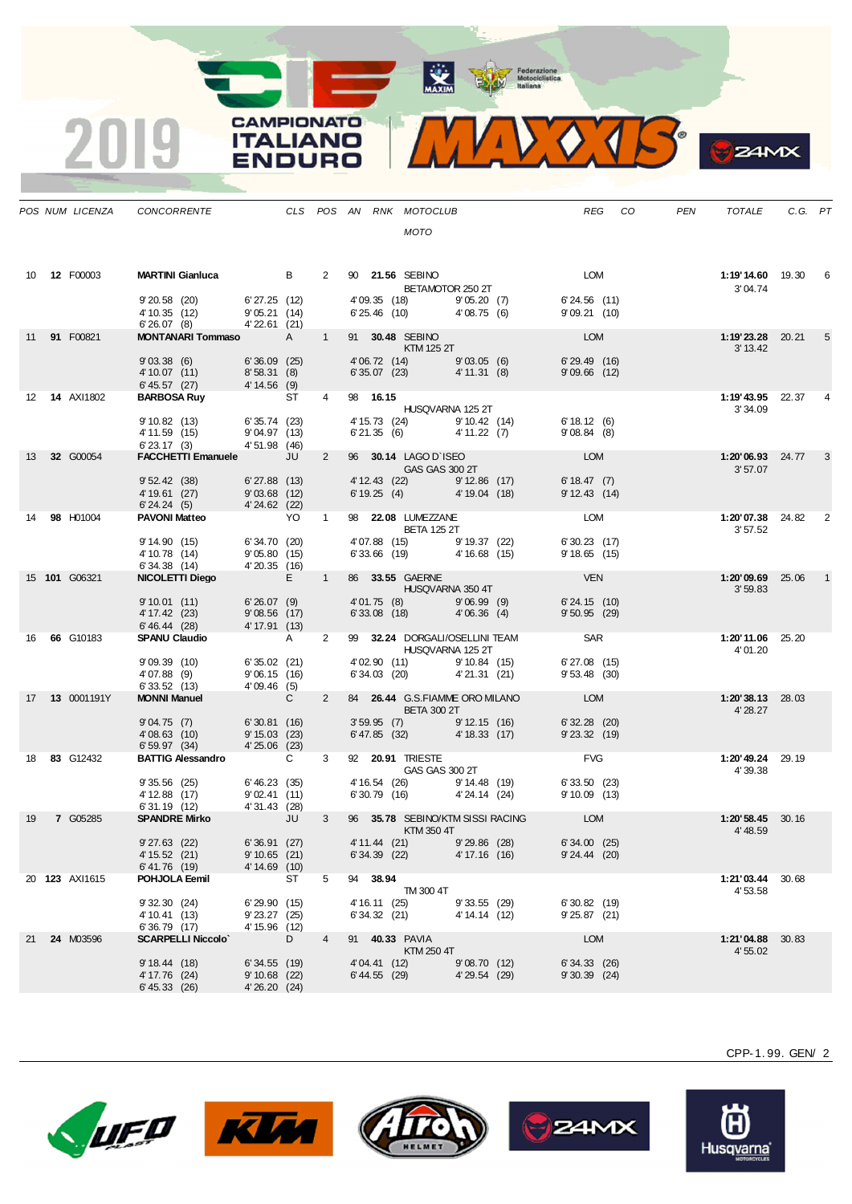MAXIM BOOR Motociclistica



|    |                     | POS NUM LICENZA CONCORRENTE                                                                                                                  |                                                   |    |                |                                          | CLS POS AN RNK MOTOCLUB<br>MOTO                                                                                                                                                                                                                  |                              |                                                                                                                        |                                             | REG CO | PEN | TOTALE                               | C.G. PT |   |
|----|---------------------|----------------------------------------------------------------------------------------------------------------------------------------------|---------------------------------------------------|----|----------------|------------------------------------------|--------------------------------------------------------------------------------------------------------------------------------------------------------------------------------------------------------------------------------------------------|------------------------------|------------------------------------------------------------------------------------------------------------------------|---------------------------------------------|--------|-----|--------------------------------------|---------|---|
|    | 10 <b>12 F00003</b> | <b>MARTINI Gianluca</b> B<br>9'20.58 (20) 6'27.25 (12)<br>4' 10.35 (12) 9' 05.21 (14)<br>6' 26.07 (8) 4' 22.61 (21)                          |                                                   |    |                |                                          | 2 90 21.56 SEBINO<br>BETAMOTOR 250 2T<br>4'09.35 (18) 9'05.20 (7)<br>$6'25.46$ (10) $4'08.75$ (6)                                                                                                                                                |                              |                                                                                                                        | <b>LOM</b><br>6'24.56 (11)<br>9'09.21 (10)  |        |     | <b>1:19'14.60</b> 19.30 6<br>3'04.74 |         |   |
|    | 11 91 F00821        | <b>MONTANARI Tommaso</b> A<br>$9'03.38$ (6) 6'36.09 (25)<br>4' 10.07 (11) 8' 58.31 (8)<br>6' 45.57 (27) 4' 14.56 (9)                         |                                                   |    | $\overline{1}$ |                                          | 91 30.48 SEBINO<br>$KTM$ 125 2T                                                                                                                                                                                                                  |                              | 4'06.72 (14)<br>6'35.07 (23) 4'11.31 (8) 9'09.66 (12)                                                                  | LOM                                         |        |     | <b>1:19'23.28</b> 20.21<br>3' 13.42  |         | 5 |
|    | 12  14  AXI1802     | <b>BARBOSA Ruy ST ST ST ST ST ST ST ST ST</b><br>9' 10.82 (13) 6' 35.74 (23)<br>$4'11.59$ (15) $9'04.97$ (13)<br>6'23.17 (3) $4'51.98$ (46)  |                                                   |    | $\overline{4}$ | 98 16.15                                 | HUSQVARNA 125 2T<br>4' 15.73 (24) 9' 10.42 (14)                                                                                                                                                                                                  |                              | 6'21.35 (6) $4'11.22$ (7) $9'08.84$ (8)                                                                                | 6'18.12(6)                                  |        |     | 1:19'43.95 22.37<br>3'34.09          |         |   |
|    | 13 32 G00054        | FACCHETTI Emanuele JU<br>9' 52.42 (38) 6' 27.88 (13)<br>4' 19.61 (27) 9' 03.68 (12)<br>6' 24.24 (5) 4' 24.62 (22)                            |                                                   |    | $2^{\circ}$    |                                          | 96 <b>30.14</b> LAGO D`ISEO<br>GAS GAS 300 2T                                                                                                                                                                                                    |                              | 4' 12.43 (22) 9' 12.86 (17)<br>$6'19.25(4)$ $4'19.04(18)$                                                              | <b>LOM</b><br>6'18.47(7)<br>9'12.43(14)     |        |     | <b>1:20'06.93</b> 24.77<br>3'57.07   |         | 3 |
|    | 14 98 H01004        | PAVONI Matteo YO 1<br>9' 14.90 (15) 6' 34.70 (20)<br>$4'10.78$ (14) $9'05.80$ (15)<br>6'34.38 (14) $4'20.35$ (16)                            |                                                   |    |                |                                          | 98 <b>22.08 LUMEZZANE</b><br>BETA 125 2T<br>4'07.88 (15) 9'19.37 (22)                                                                                                                                                                            |                              | 6' 33.66 $(19)$ 4' 16.68 $(15)$                                                                                        | LOM<br>6'30.23(17)<br>$9'18.65$ (15)        |        |     | 1:20'07.38 24.82 2<br>3'57.52        |         |   |
|    | 15 101 G06321       | NICOLETTI Diego E 1<br>$9'10.01$ (11) 6'26.07 (9)<br>4' 17.42 (23) 9' 08.56 (17)<br>6' 46.44 (28) 4' 17.91 (13)                              |                                                   |    |                |                                          |                                                                                                                                                                                                                                                  |                              | 86 33.55 GAERNE<br>HUSQVARNA 350 4T<br>4'01.75 (8) 9'06.99 (9) 6'24.15 (10)<br>6'33.08 (18) 4'06.36 (4) 9'50.95 (29)   |                                             |        |     | 1:20'09.69 25.06<br>3'59.83          |         |   |
|    | 16 66 G10183        | SPANU Claudio A<br>9'09.39(10)<br>4'07.88 (9)<br>6' 33.52 (13)                                                                               | 6' 35.02 (21)<br>$9'06.15$ (16)<br>4'09.46 (5)    |    | $\mathbf{2}$   |                                          | HUSQVARNA 125 2T                                                                                                                                                                                                                                 |                              | 99 32.24 DORGALI/OSELLINI TEAM SAR<br>4'02.90 (11) 9'10.84 (15) 6'27.08 (15)<br>6'34.03 (20) 4'21.31 (21) 9'53.48 (30) |                                             |        |     | 1:20'11.06 25.20<br>4'01.20          |         |   |
|    | 17   13   0001191Y  | <b>MONNI Manuel</b><br>$9'04.75$ (7) 6'30.81 (16)<br>$4'08.63$ (10) $9'15.03$ (23)<br>6' 59.97 (34)                                          | $\overline{C}$<br>4'25.06 (23)                    |    | $2^{\circ}$    |                                          | 84 26.44 G.S.FIAMME ORO MILANO<br><b>EXAMPLE THE BETA 300 2T</b>                                                                                                                                                                                 |                              | 3' 59.95 (7) 9' 12.15 (16) 6' 32.28 (20)<br>6' 47.85 (32) 4' 18.33 (17) 9' 23.32 (19)                                  | <b>EXAMPLE DESCRIPTION</b>                  |        |     | $1:20'38.13$ 28.03<br>4' 28.27       |         |   |
|    | 18 83 G12432        | <b>BATTIG Alessandro</b> C<br>9 35.56 (25) 6 46.23 (35)<br>4 12.88 (17) 9 02.41 (11)<br>6 31.19 (12) 4 31.43 (28)<br><b>SPANDRE Mirko</b> JU |                                                   |    | $3^{\circ}$    |                                          | 92 20.91 TRIESTE<br>GAS GAS 300 2T                                                                                                                                                                                                               |                              | 4' 16.54 (26) 9' 14.48 (19) 6' 33.50 (23)<br>6' 30.79 (16) 4' 24.14 (24) 9' 10.09 (13)                                 | <b>EVG</b>                                  |        |     | 1:20'49.24 29.19<br>4' 39.38         |         |   |
| 19 | 7 G05285            | $9'27.63$ (22)<br>4' 15.52 (21)<br>6' 41.76 (19)                                                                                             | 6'36.91 (27)<br>$9'10.65$ (21)<br>4' 14.69 (10)   |    |                | $6'34.39$ (22)                           | $\blacksquare$ $\blacksquare$ $\blacksquare$ $\blacksquare$ $\blacksquare$ $\blacksquare$ $\blacksquare$ $\blacksquare$ $\blacksquare$ $\blacksquare$ $\blacksquare$ $\blacksquare$ $\blacksquare$ $\blacksquare$<br>4' 11.44 (21) 9' 29.86 (28) | 4' 17.16 (16)                | 3 96 35.78 SEBINO/KTM SISSI RACING LOM                                                                                 | 6'34.00(25)<br>$9'24.44$ (20)               |        |     | 1:20'58.45 30.16<br>4' 48.59         |         |   |
|    | 20 123 AXI1615      | POHJOLA Eemil<br>9'32.30(24)<br>4' 10.41 (13)<br>6'36.79 (17)                                                                                | 6'29.90(15)<br>$9'$ 23.27 $(25)$<br>4' 15.96 (12) | ST | 5              | 94 38.94<br>4' 16.11 (25)<br>6'34.32(21) | TM 300 4T                                                                                                                                                                                                                                        | 9'33.55(29)<br>4' 14.14 (12) |                                                                                                                        | 6'30.82(19)<br>$9'25.87$ (21)               |        |     | 1:21'03.44<br>4'53.58                | 30.68   |   |
| 21 | 24 M03596           | <b>SCARPELLI Niccolo</b><br>9'18.44(18)<br>4' 17.76 (24)<br>6' 45.33 (26)                                                                    | $6'34.55$ (19)<br>9' 10.68 (22)<br>4'26.20 (24)   | D  | 4              | 4' 04.41 (12)<br>$6' 44.55$ (29)         | 91 40.33 PAVIA<br>KTM 250 4T                                                                                                                                                                                                                     | 9'08.70(12)<br>4'29.54 (29)  |                                                                                                                        | <b>LOM</b><br>6'34.33(26)<br>$9'30.39$ (24) |        |     | 1:21'04.88<br>4' 55.02               | 30.83   |   |





**CAMPIONATO** 

**ITALIANO** 

**ENDURO** 

2019







CPP-1. 99. GEN/ 2

**24MX**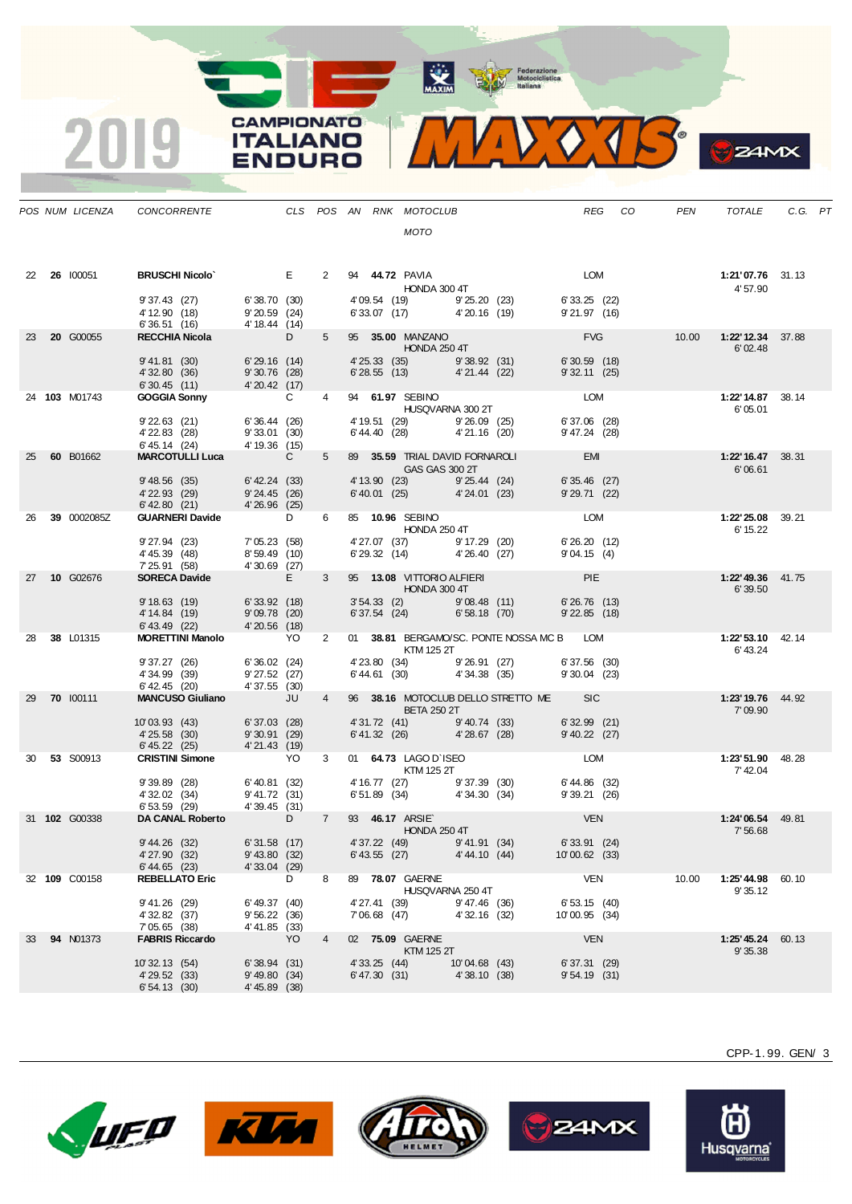**ANAXIM** Federazione<br>
Motociclistica<br>
Italiana

**CAMPIONATO** 

**ITALIANO** 

**ENDURO** 

 $\overline{\mathbf{2}}$ 



**24MX** 

|    | POS NUM LICENZA  | CONCORRENTE                                                                                    |                                                     |                   |                |                                | CLS POS AN RNK MOTOCLUB                                    |                               |                                                            | REG                              | CO | <b>PEN</b> | TOTALE                               | C.G. PT |  |
|----|------------------|------------------------------------------------------------------------------------------------|-----------------------------------------------------|-------------------|----------------|--------------------------------|------------------------------------------------------------|-------------------------------|------------------------------------------------------------|----------------------------------|----|------------|--------------------------------------|---------|--|
|    |                  |                                                                                                |                                                     |                   |                |                                | <b>MOTO</b>                                                |                               |                                                            |                                  |    |            |                                      |         |  |
|    | 22 26 100051     | <b>BRUSCHI Nicolo</b>                                                                          | <b>Example 19</b>                                   |                   | $2^{\circ}$    |                                | 94 <b>44.72 PAVIA</b><br>HONDA 300 4T                      |                               |                                                            | LOM                              |    |            | 1:21'07.76 31.13<br>4'57.90          |         |  |
|    |                  | 9'37.43(27)<br>4' 12.90 (18)<br>6'36.51(16)                                                    | 6'38.70 (30)<br>9'20.59(24)<br>4' 18.44 (14)        |                   |                |                                | 4'09.54 (19) 9'25.20 (23)<br>6'33.07 (17) 4'20.16 (19)     |                               |                                                            | 6'33.25 (22)<br>9'21.97(16)      |    |            |                                      |         |  |
| 23 | 20 G00055        | <b>RECCHIA Nicola</b>                                                                          |                                                     | $D \qquad \qquad$ | $5 -$          |                                | 95 <b>35.00 MANZANO</b><br><b>HONDA 250 4T</b>             |                               |                                                            | <b>EVG</b>                       |    |            | 6'02.48                              |         |  |
|    |                  | 9' 41.81 (30)<br>4' 32.80 (36)<br>6'30.45(11)                                                  | 6'29.16 (14)<br>9'30.76(28)<br>4'20.42(17)          |                   |                |                                | 4' 25.33 (35) 9' 38.92 (31)<br>6' 28.55 (13) 4' 21.44 (22) |                               |                                                            | $6'30.59$ (18)<br>$9'32.11$ (25) |    |            |                                      |         |  |
|    | 24 103 M01743    | <b>GOGGIA Sonny</b>                                                                            |                                                     | $\mathbf{C}$      | $4 \quad$      |                                | 94 61.97 SEBINO<br><b>HUSQVARNA 300 2T</b>                 |                               |                                                            | LOM                              |    |            | 1:22'14.87 38.14<br>6'05.01          |         |  |
|    |                  | $9'22.63$ (21)<br>4' 22.83 (28)<br>$6' 45.14$ (24)                                             | 6'36.44(26)<br>9'33.01 (30)<br>4' 19.36 (15)        |                   |                |                                | 4' 19.51 (29) 9' 26.09 (25)<br>6' 44.40 (28) 4' 21.16 (20) |                               |                                                            | 6'37.06 (28)<br>9' 47.24 (28)    |    |            |                                      |         |  |
| 25 | 60 B01662        | <b>MARCOTULLI Luca</b>                                                                         | $\overline{C}$                                      |                   | $5 -$          |                                | 89 35.59 TRIAL DAVID FORNAROLI<br><b>GAS GAS 300 2T</b>    |                               |                                                            | <b>EMI</b>                       |    |            | 1:22'16.47 38.31<br>6'06.61          |         |  |
|    |                  | 9'48.56(35)<br>4' 22.93 (29)<br>$6'$ 42.80 $(21)$                                              | 6' 42.24 (33)<br>9'24.45(26)<br>4'26.96(25)         |                   |                |                                | 6' 40.01 (25) 4' 24.01 (23)                                |                               | 4' 13.90 (23) 9' 25.44 (24)                                | $6'35.46$ (27)<br>$9'29.71$ (22) |    |            |                                      |         |  |
| 26 | 39 0002085Z      | <b>GUARNERI Davide</b>                                                                         |                                                     | D <sub>a</sub>    | 6              |                                | 85 10.96 SEBINO<br><b>HONDA 250 4T</b>                     |                               |                                                            | LOM                              |    |            | <b>1:22' 25.08</b> 39.21<br>6' 15.22 |         |  |
|    |                  | $9'27.94$ (23)<br>4' 45.39 (48)<br>$7\,25.91\quad(58)$ $4'\,30.69\quad(27)$<br>SORECA Davide E | 7'05.23 (58)<br>8'59.49 (10)                        |                   |                |                                | 4' 27.07 (37) 9' 17.29 (20)<br>6' 29.32 (14) 4' 26.40 (27) |                               |                                                            | 6'26.20 (12)<br>9'04.15(4)       |    |            |                                      |         |  |
| 27 | 10 G02676        |                                                                                                | $\mathbf{E}$ and $\mathbf{E}$ and $\mathbf{E}$      |                   | $3^{\circ}$    |                                | 95 13.08 VITTORIO ALFIERI<br><b>HONDA 300 4T</b>           |                               |                                                            | <b>Example 19 PIE</b>            |    |            | 1:22'49.36 41.75<br>6'39.50          |         |  |
|    |                  | 9' 18.63 (19) 6' 33.92 (18)<br>4' 14.84 (19)<br>$6' 43.49$ (22)                                | 9'09.78(20)<br>4'20.56(18)                          |                   |                |                                | 6' 37.54 (24) 6' 58.18 (70)                                |                               | $3'54.33$ (2) $9'08.48$ (11)                               | 6'26.76(13)<br>$9'$ 22.85 $(18)$ |    |            |                                      |         |  |
| 28 | 38 L01315        | <b>MORETTINI Manolo</b> YO                                                                     |                                                     |                   | $\mathbf{2}$   |                                | <b>KTM 125 2T</b>                                          |                               | 01 38.81 BERGAMO/SC. PONTE NOSSA MC B LOM                  |                                  |    |            | 1:22' 53.10 42.14<br>6'43.24         |         |  |
|    |                  | 9'37.27 (26)<br>4'34.99 (39)<br>$6'$ 42.45 (20)                                                | 6'36.02(24)<br>9'27.52(27)<br>4'37.55(30)           |                   |                |                                |                                                            |                               | 4' 23.80 (34) 9' 26.91 (27)<br>6' 44.61 (30) 4' 34.38 (35) | 6'37.56 (30)<br>$9'30.04$ (23)   |    |            |                                      |         |  |
| 29 | 70 100111        | <b>MANCUSO Giuliano</b>                                                                        | <b>ULL</b>                                          |                   | $\overline{4}$ |                                | <b>BETA 250 2T</b>                                         |                               | 96 38.16 MOTOCLUB DELLO STRETTO ME SIC                     |                                  |    |            | 1:23'19.76 44.92<br>7'09.90          |         |  |
|    |                  | 10'03.93 (43)<br>4'25.58 (30)<br>$6' 45.22$ (25)                                               | $6'37.03$ (28)<br>9'30.91(29)<br>4'21.43(19)        |                   |                |                                | 6' 41.32 (26) 4' 28.67 (28)                                |                               | 4'31.72 (41) 9'40.74 (33)                                  | $6'32.99$ (21)<br>$9'40.22$ (27) |    |            |                                      |         |  |
| 30 | 53 S00913        | <b>CRISTINI Simone</b> YO                                                                      |                                                     |                   | 3              |                                | 01 64.73 LAGO D'ISEO<br>KTM 125 2T                         |                               |                                                            | <b>LOM</b>                       |    |            | 1:23'51.90 48.28<br>7' 42.04         |         |  |
|    |                  | 9'39.89(28)<br>4' 32.02 (34)<br>6'53.59 (29)                                                   | $6' 40.81$ (32)<br>9' 41.72 (31)<br>4' 39.45 (31)   |                   |                |                                |                                                            |                               | 4' 16.77 (27) 9' 37.39 (30)<br>6' 51.89 (34) 4' 34.30 (34) | 6' 44.86 (32)<br>9'39.21 (26)    |    |            |                                      |         |  |
|    | 31 102 G00338    | DA CANAL Roberto D 7 93 46.17 ARSIE                                                            |                                                     |                   |                |                                | <b>HONDA 250 4T</b>                                        |                               |                                                            | <b>VEN</b>                       |    |            | 1:24'06.54<br>7'56.68                | 49.81   |  |
|    |                  | 9' 44.26 (32)<br>4'27.90 (32)<br>6'44.65 (23)                                                  | 6'31.58 (17)<br>$9'$ 43.80 $(32)$<br>$4'33.04$ (29) |                   |                | $6'$ 43.55 (27)                |                                                            | 4'44.10(44)                   | 4' 37.22 (49) 9' 41.91 (34)                                | 6'33.91 (24)<br>10'00.62 (33)    |    |            |                                      |         |  |
|    | 32 109 C00158    | <b>REBELLATO Eric</b>                                                                          |                                                     | D                 | 8              |                                | 89 78.07 GAERNE<br>HUSQVARNA 250 4T                        |                               |                                                            | VEN                              |    | 10.00      | <b>1:25' 44.98</b> 60.10<br>9'35.12  |         |  |
|    |                  | 9' 41.26 (29)<br>4' 32.82 (37)<br>7'05.65 (38)                                                 | 6' 49.37 (40)<br>9'56.22(36)<br>4'41.85 (33)        |                   |                | 4' 27.41 (39)<br>7'06.68 (47)  |                                                            | 9' 47.46 (36)<br>4'32.16 (32) |                                                            | 6'53.15(40)<br>10'00.95 (34)     |    |            |                                      |         |  |
| 33 | <b>94 N01373</b> | <b>FABRIS Riccardo</b>                                                                         |                                                     | YO                | $\overline{4}$ |                                | 02 75.09 GAERNE<br>KTM 125 2T                              |                               |                                                            | <b>VEN</b>                       |    |            | 1:25' 45.24 60.13<br>9'35.38         |         |  |
|    |                  | 10' 32.13 (54)<br>4' 29.52 (33)<br>6'54.13(30)                                                 | 6'38.94(31)<br>9' 49.80 (34)<br>4' 45.89 (38)       |                   |                | 4' 33.25 (44)<br>6' 47.30 (31) |                                                            | 10'04.68 (43)<br>4'38.10(38)  |                                                            | 6'37.31 (29)<br>$9'54.19$ (31)   |    |            |                                      |         |  |
|    |                  |                                                                                                |                                                     |                   |                |                                |                                                            |                               |                                                            |                                  |    |            |                                      |         |  |







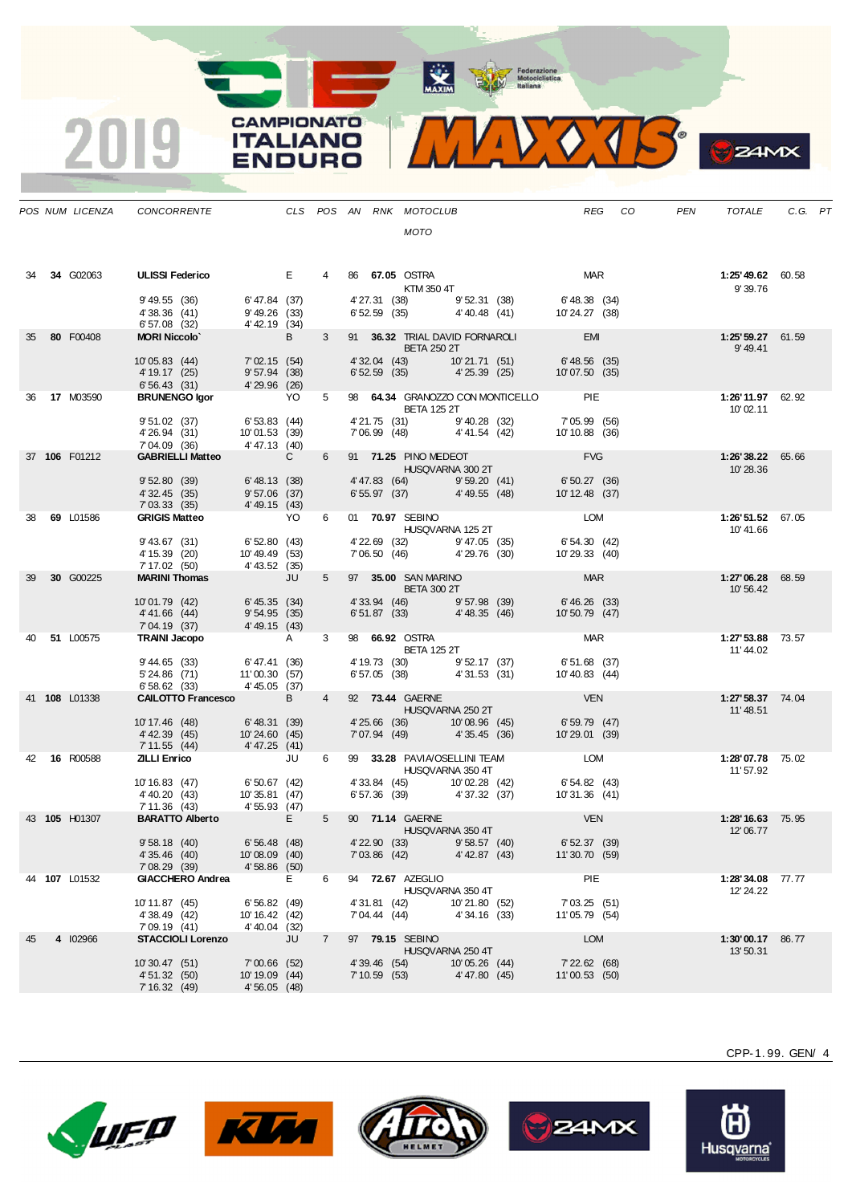MAXIM Rederazione

.

|    | POS NUM LICENZA | CONCORRENTE                                         |                                                    |                |                |                                | CLS POS AN RNK MOTOCLUB                                    |                               |                                                                                    | REG                             | CO         | <b>PEN</b> | <b>TOTALE</b>                  | C.G. PT |  |
|----|-----------------|-----------------------------------------------------|----------------------------------------------------|----------------|----------------|--------------------------------|------------------------------------------------------------|-------------------------------|------------------------------------------------------------------------------------|---------------------------------|------------|------------|--------------------------------|---------|--|
|    |                 |                                                     |                                                    |                |                |                                | <b>MOTO</b>                                                |                               |                                                                                    |                                 |            |            |                                |         |  |
| 34 | 34 G02063       | <b>ULISSI Federico</b>                              |                                                    | E              |                |                                | 86 67.05 OSTRA<br>KTM 350 4T                               |                               |                                                                                    |                                 | <b>MAR</b> |            | 1:25'49.62 60.58<br>9'39.76    |         |  |
|    |                 | 9' 49.55 (36)<br>4'38.36 (41)<br>6'57.08 (32)       | 6' 47.84 (37)<br>9'49.26(33)<br>4'42.19 (34)       |                |                | 4' 27.31 (38)                  | $6'52.59$ (35) $4'40.48$ (41)                              | 9'52.31 (38)                  |                                                                                    | 6' 48.38 (34)<br>10' 24.27 (38) |            |            |                                |         |  |
| 35 | 80 F00408       | <b>MORI Niccolo'</b>                                |                                                    | B <sub>a</sub> | $3^{\circ}$    |                                | <b>BETA 250 2T</b>                                         |                               | 91 36.32 TRIAL DAVID FORNAROLI EMI                                                 |                                 |            |            | 1:25' 59.27 61.59<br>9' 49.41  |         |  |
|    |                 | 10'05.83 (44)<br>4' 19.17 (25)<br>6'56.43(31)       | 7'02.15(54)<br>$9'57.94$ (38)<br>4' 29.96 (26)     |                |                | $6'52.59$ (35)                 | 4'32.04 (43) 10'21.71 (51)                                 | 4' 25.39 (25)                 |                                                                                    | 6' 48.56 (35)<br>10'07.50 (35)  |            |            |                                |         |  |
|    | 36 17 M03590    | <b>BRUNENGO Igor</b>                                |                                                    | YO             | 5              |                                | <b>BETA 125 2T</b>                                         |                               | 98 64.34 GRANOZZO CON MONTICELLO PIE                                               |                                 |            |            | 1:26'11.97 62.92<br>10'02.11   |         |  |
|    |                 | 9'51.02(37)<br>4'26.94 (31)<br>7'04.09 (36)         | 6'53.83 (44)<br>10'01.53 (39)<br>4'47.13 (40)      |                |                |                                | 4'21.75 (31)<br>7'06.99 (48) 4'41.54 (42)                  | 9' 40.28 (32)                 |                                                                                    | 7'05.99 (56)<br>10'10.88 (36)   |            |            |                                |         |  |
|    | 37 106 F01212   | <b>GABRIELLI Matteo</b>                             |                                                    | $\mathbf{C}$   | 6              |                                | 91 71.25 PINO MEDEOT<br>HUSQVARNA 300 2T                   |                               |                                                                                    | <b>EVG</b>                      |            |            | 1:26'38.22 65.66<br>10'28.36   |         |  |
|    |                 | 9'52.80(39)<br>4' 32.45 (35)<br>7'03.33(35)         | $6' 48.13$ (38)<br>$9'57.06$ (37)<br>4'49.15(43)   |                |                |                                | 4'47.83 (64) 9'59.20 (41)<br>6' 55.97 (37) 4' 49.55 (48)   |                               |                                                                                    | 6' 50.27 (36)<br>10'12.48 (37)  |            |            |                                |         |  |
| 38 | 69 L01586       | <b>GRIGIS Matteo</b>                                |                                                    | YO             | 6              |                                | 01 70.97 SEBINO<br>HUSQVARNA 125 2T                        |                               |                                                                                    | <b>LOM</b>                      |            |            | 1:26'51.52 67.05<br>10'41.66   |         |  |
|    |                 | $9'$ 43.67 $(31)$<br>4' 15.39 (20)<br>7' 17.02 (50) | 6'52.80 (43)<br>10'49.49 (53)<br>4' 43.52 (35)     |                |                |                                | 4' 22.69 (32) 9' 47.05 (35)<br>7' 06.50 (46) 4' 29.76 (30) |                               |                                                                                    | 6' 54.30 (42)<br>10' 29.33 (40) |            |            |                                |         |  |
| 39 | 30 G00225       | <b>MARINI Thomas</b>                                | JU                                                 |                | 5              |                                | 97 35.00 SAN MARINO<br><b>BETA 300 2T</b>                  |                               |                                                                                    | <b>MAR</b>                      |            |            | 1:27'06.28 68.59<br>10'56.42   |         |  |
|    |                 | 10'01.79 (42)<br>4'41.66 (44)<br>7'04.19 (37)       | 6' 45.35 (34)<br>9'54.95(35)<br>4' 49.15 (43)      |                |                | 4' 33.94 (46)<br>6'51.87(33)   |                                                            | 9'57.98(39)<br>4'48.35(46)    |                                                                                    | 6' 46.26 (33)<br>10'50.79 (47)  |            |            |                                |         |  |
| 40 | 51 L00575       | <b>TRAINI Jacopo</b>                                |                                                    | A              | $3^{\circ}$    |                                | 98 66.92 OSTRA<br><b>BETA 125 2T</b>                       |                               |                                                                                    | <b>MAR</b>                      |            |            | 1:27' 53.88 73.57<br>11'44.02  |         |  |
|    |                 | 9' 44.65 (33)<br>5' 24.86 (71)<br>6'58.62(33)       | 6'47.41 (36)<br>11'00.30(57)<br>4' 45.05 (37)      |                |                |                                | 4' 19.73 (30) 9' 52.17 (37)<br>6'57.05 (38)                | 4'31.53 (31)                  |                                                                                    | 6'51.68 (37)<br>10'40.83 (44)   |            |            |                                |         |  |
|    | 41 108 L01338   | <b>CALOTTO Francesco</b>                            |                                                    | B              | $\overline{4}$ |                                | 92 73.44 GAERNE<br>HUSQVARNA 250 2T                        |                               |                                                                                    | <b>VEN</b>                      |            |            | 1:27' 58.37 74.04<br>11'48.51  |         |  |
|    |                 | 10' 17.46 (48)<br>4' 42.39 (45)<br>7' 11.55 (44)    | 6'48.31 (39)<br>10'24.60 (45)<br>4'47.25(41)       |                |                | 7'07.94 (49)                   | 4'25.66 (36) 10'08.96 (45)                                 | 4' 35.45 (36)                 |                                                                                    | 6'59.79 (47)<br>10'29.01 (39)   |            |            |                                |         |  |
|    | 42 16 R00588    | <b>ZILLI Enrico</b>                                 |                                                    | JU             | 6              |                                | HUSQVARNA 350 4T                                           |                               | 99 33.28 PAVIA/OSELLINI TEAM LOM                                                   |                                 |            |            | 1:28'07.78 75.02<br>11' 57.92  |         |  |
|    |                 | 10' 16.83 (47)<br>4' 40.20 (43)<br>7' 11.36 (43)    | 6'50.67 (42)<br>10'35.81 (47)<br>4' 55.93 (47)     |                |                |                                |                                                            |                               | 4'33.84 (45) 10'02.28 (42) 6'54.82 (43)<br>6'57.36 (39) 4'37.32 (37) 10'31.36 (41) |                                 |            |            |                                |         |  |
|    | 43 105 H01307   | <b>BARATTO Alberto</b>                              | <b>Experience</b>                                  |                | $5 -$          |                                | 90 71.14 GAERNE                                            | HUSQVARNA 350 4T              |                                                                                    | <b>VEN</b>                      |            |            | 1:28'16.63 75.95<br>12'06.77   |         |  |
|    |                 | 9' 58.18 (40)<br>4' 35.46 (40)<br>7' 08.29 (39)     | $6'56.48$ (48)<br>$10'08.09$ (40)<br>4'58.86 (50)  |                |                | $7'03.86$ (42)                 |                                                            | 4' 42.87 (43)                 | 4'22.90 (33) 9'58.57 (40)                                                          | 6' 52.37 (39)<br>11'30.70 (59)  |            |            |                                |         |  |
|    | 44 107 L01532   | <b>GIACCHERO Andrea</b>                             |                                                    | E.             | 6              |                                | 94 72.67 AZEGLIO                                           | HUSQVARNA 350 4T              |                                                                                    | PIE                             |            |            | 1:28'34.08 77.77<br>12' 24.22  |         |  |
|    |                 | 10'11.87 (45)<br>4'38.49 (42)<br>7'09.19(41)        | 6'56.82(49)<br>10' 16.42 (42)<br>4'40.04 (32)      |                |                | 4' 31.81 (42)<br>7' 04.44 (44) |                                                            | 10'21.80 (52)<br>4'34.16 (33) |                                                                                    | 7'03.25(51)<br>11'05.79 (54)    |            |            |                                |         |  |
| 45 | 4 102966        | <b>STACCIOLI Lorenzo</b>                            |                                                    | JU             | $\overline{7}$ |                                | 97 79.15 SEBINO<br>HUSQVARNA 250 4T                        |                               |                                                                                    | <b>LOM</b>                      |            |            | $1:30'00.17$ 86.77<br>13'50.31 |         |  |
|    |                 | 10'30.47 (51)<br>4' 51.32 (50)<br>7' 16.32 (49)     | $7'00.66$ (52)<br>$10' 19.09$ (44)<br>4'56.05 (48) |                |                | 4' 39.46 (54)<br>7'10.59(53)   |                                                            | 10'05.26 (44)<br>4'47.80 (45) |                                                                                    | 7'22.62 (68)<br>11'00.53 (50)   |            |            |                                |         |  |

**CAMPIONATO** 

**ITALIANO** 

**ENDURO** 

 $\overline{2}$ 

**LUFO KIM** 









CPP-1. 99. GEN/ 4

 $24MX$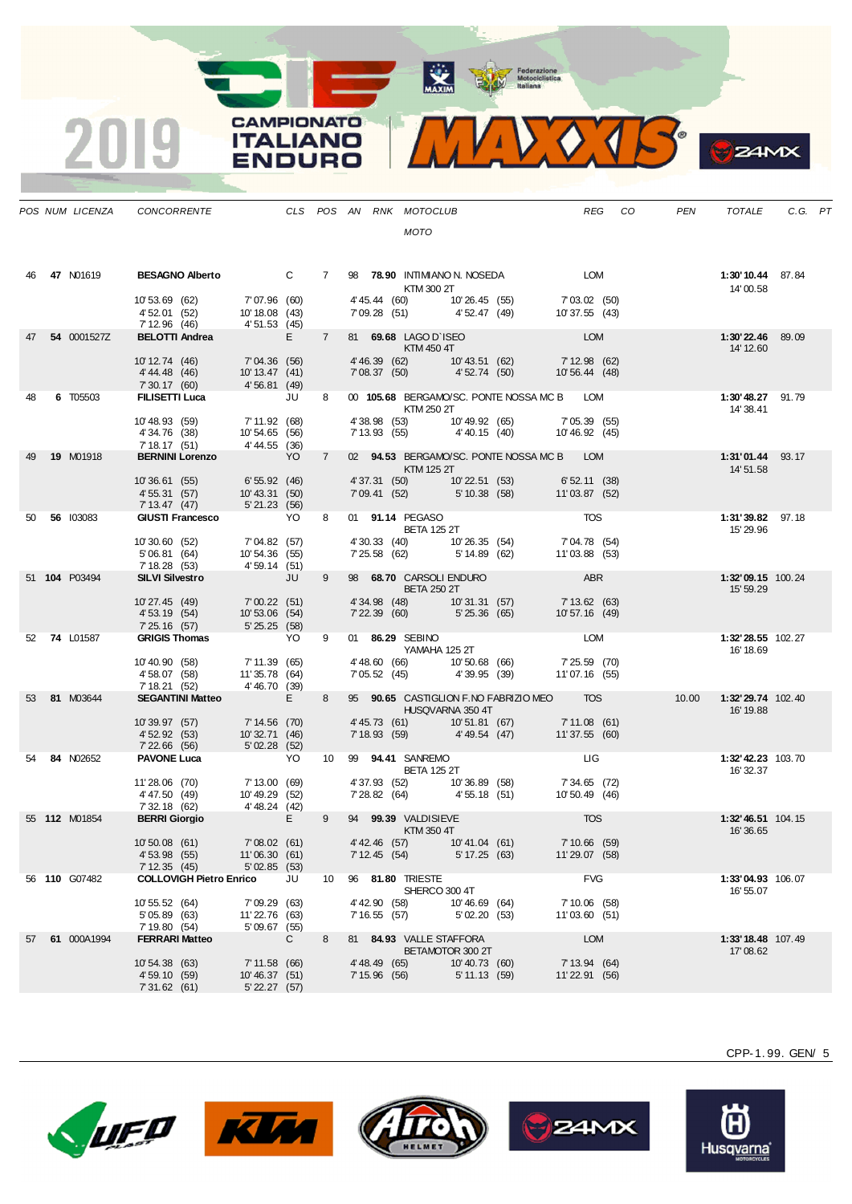Federazione<br>
Motociclistica<br>
Italiana

**ANAXIM** 

**CAMPIONATO** 

**ITALIANO** 

VDURO

 $\overline{\mathbf{2}}$ 

|    | POS NUM LICENZA | <b>CONCORRENTE</b>                                                             |                                                   |              |             |                                | CLS POS AN RNK MOTOCLUB                                     |                                |                                                                                                                                                                  | REG                             | CO | <b>PEN</b> | <b>TOTALE</b>                  | C.G. PT |  |
|----|-----------------|--------------------------------------------------------------------------------|---------------------------------------------------|--------------|-------------|--------------------------------|-------------------------------------------------------------|--------------------------------|------------------------------------------------------------------------------------------------------------------------------------------------------------------|---------------------------------|----|------------|--------------------------------|---------|--|
|    |                 |                                                                                |                                                   |              |             |                                | <b>MOTO</b>                                                 |                                |                                                                                                                                                                  |                                 |    |            |                                |         |  |
| 46 | 47 N01619       |                                                                                |                                                   |              |             |                                | KTM 300 2T                                                  |                                |                                                                                                                                                                  |                                 |    |            | 1:30'10.44 87.84<br>14'00.58   |         |  |
|    |                 | 10'53.69 (62)<br>4' 52.01 (52)<br>7 12.96 (46)<br><b>BELOTTI Andrea</b> E      | 7'07.96 (60)<br>10' 18.08 (43)                    |              |             |                                | 4' 45.44 (60) 10' 26.45 (55)<br>7' 09.28 (51) 4' 52.47 (49) |                                |                                                                                                                                                                  | 7' 03.02 (50)<br>10' 37.55 (43) |    |            |                                |         |  |
|    | 54 0001527Z     |                                                                                |                                                   |              | $7^{\circ}$ |                                | 81 69.68 LAGO D'ISEO<br><b>Example 15 KTM 450 4T</b>        |                                |                                                                                                                                                                  | <b>EXECUTE LOM</b>              |    |            | 1:30'22.46 89.09<br>14' 12.60  |         |  |
|    |                 | 10' 12.74 (46) 7' 04.36 (56)<br>4'44.48 (46)<br>7'30.17 (60) 4'56.81 (49)      | 10' 13.47 (41)                                    |              |             |                                |                                                             |                                |                                                                                                                                                                  |                                 |    |            |                                |         |  |
| 48 | 6 T05503        | FILISETTI Luca JU                                                              |                                                   |              | 8           |                                | <b>KTM 250 2T</b>                                           |                                | 00 105.68 BERGAMO/SC. PONTE NOSSA MC B LOM                                                                                                                       |                                 |    |            | 1:30'48.27 91.79<br>14' 38.41  |         |  |
|    |                 | 10'48.93 (59)<br>4'34.76 (38)<br>7 18.17 (51) $(30)$<br>BERNINI Lorenzo $(36)$ | 7' 11.92 (68)<br>10' 54.65 (56)                   |              |             |                                |                                                             |                                | 4' 38.98 (53)    10' 49.92 (65)    7' 05.39 (55)<br>7' 13.93 (55)    4' 40.15 (40)    10' 46.92 (45)                                                             |                                 |    |            |                                |         |  |
| 49 | 19 M01918       |                                                                                | <b>Example 19 YO</b>                              |              | $7^{\circ}$ |                                | KTM 125 2T                                                  |                                | 02 94.53 BERGAMO/SC. PONTE NOSSA MC B LOM                                                                                                                        |                                 |    |            | 1:31'01.44 93.17<br>14' 51.58  |         |  |
|    |                 | 10'36.61 (55) 6'55.92 (46)<br>4' 55.31 (57)<br>7' 13.47 (47)                   | 10'43.31 (50)<br>5'21.23(56)                      |              |             |                                |                                                             |                                | $\begin{array}{llll} 4' \, 37.31 & (50) & 10' \, 22.51 & (53) & 6' \, 52.11 & (38) \\ 7' \, 09.41 & (52) & 5' \, 10.38 & (58) & 11' \, 03.87 & (52) \end{array}$ |                                 |    |            |                                |         |  |
|    | 50 56 103083    | <b>GIUSTI Francesco</b> YO                                                     |                                                   |              | 8           |                                |                                                             | <b>BETA 125 2T</b>             | 01 91.14 PEGASO TOS                                                                                                                                              |                                 |    |            | 1:31'39.82 97.18<br>15' 29.96  |         |  |
|    |                 | 10'30.60 (52)<br>5'06.81 (64)<br>7' 18.28 (53)                                 | 7'04.82 (57)<br>10'54.36 (55)<br>4'59.14(51)      |              |             |                                |                                                             |                                | 4' 30.33 (40)    10' 26.35 (54)    7' 04.78 (54)<br>7' 25.58 (62)    5' 14.89 (62)    11' 03.88 (53)                                                             |                                 |    |            |                                |         |  |
|    | 51 104 P03494   | <b>SILVI Silvestro</b>                                                         | <b>STATE STATE</b>                                |              | $9^{\circ}$ |                                | <b>BETA 250 2T</b>                                          |                                | 98 68.70 CARSOLI ENDURO ABR<br>RETA 250 2T                                                                                                                       |                                 |    |            | 1:32'09.15 100.24<br>15' 59.29 |         |  |
|    |                 | 10'27.45 (49) 7'00.22 (51)<br>4' 53.19 (54)<br>7' 25.16 (57)                   | 10'53.06 (54)<br>5'25.25(58)                      |              |             |                                |                                                             |                                |                                                                                                                                                                  |                                 |    |            |                                |         |  |
|    | 52 74 L01587    | GRIGIS Thomas YO                                                               |                                                   |              | 9           |                                | 01 86.29 SEBINO<br>YAMAHA 125 2T                            |                                |                                                                                                                                                                  | LOM                             |    |            | 1:32'28.55 102.27<br>16' 18.69 |         |  |
|    |                 | 10'40.90 (58)<br>4' 58.07 (58)<br>7' 18.21 (52)                                | 7' 11.39 (65)<br>11'35.78 (64)<br>4' 46.70 (39)   |              |             |                                |                                                             |                                | 4' 48.60 (66) 10' 50.68 (66) 7' 25.59 (70)<br>7' 05.52 (45) 4' 39.95 (39) 11' 07.16 (55)                                                                         |                                 |    |            |                                |         |  |
|    | 53 81 M03644    | <b>SEGANTINI Matteo</b>                                                        | <b>Example 19</b>                                 |              | 8           |                                | HUSQVARNA 350 4T                                            |                                | 95 90.65 CASTIGLION F.NO FABRIZIO MEO TOS                                                                                                                        |                                 |    |            | 16' 19.88                      |         |  |
|    |                 | 10'39.97 (57) 7'14.56 (70)<br>4' 52.92 (53)<br>7' 22.66 (56)                   | 10'32.71 (46)<br>5'02.28(52)                      |              |             |                                |                                                             |                                | $\begin{array}{lllllll} 4'45.73 & (61) & & 10'51.81 & (67) & & 7'11.08 & (61) \\ 7'18.93 & (59) & & 4'49.54 & (47) & & 11'37.55 & (60) \end{array}$              |                                 |    |            |                                |         |  |
|    | 54 84 N02652    | <b>PAVONE Luca</b>                                                             |                                                   | YO           |             |                                | 10 99 <b>94.41 SANREMO</b><br><b>BETA 125 2T</b>            |                                |                                                                                                                                                                  | <b>Example 11 G</b>             |    |            | 1:32'42.23 103.70<br>16' 32.37 |         |  |
|    |                 | 11'28.06 (70)<br>4'47.50 (49)<br>7' 32.18 (62)                                 | 7' 13.00 (69)<br>10' 49.29 (52)<br>4' 48.24 (42)  |              |             |                                |                                                             |                                | 4' 37.93 (52) 10' 36.89 (58) 7' 34.65 (72)<br>7' 28.82 (64) 4' 55.18 (51) 10' 50.49 (46)                                                                         |                                 |    |            |                                |         |  |
|    | 55 112 M01854   | <b>BERRI Giorgio</b>                                                           | $\mathbb{R}^n$ . In the $\mathbb{R}^n$            |              | $9^{\circ}$ |                                | 94 99.39 VALDISIEVE<br>KTM 350 4T                           |                                |                                                                                                                                                                  | <b>TOS</b>                      |    |            | 1:32'46.51 104.15<br>16'36.65  |         |  |
|    |                 | 10'50.08 (61) 7'08.02 (61)<br>4' 53.98 (55)<br>7'12.35(45)                     | 11'06.30 (61)<br>$5'$ 02.85 $(53)$                |              |             | 7'12.45(54)                    | 4'42.46 (57) 10'41.04 (61)                                  | 5' 17.25 (63)                  |                                                                                                                                                                  | 7'10.66 (59)<br>11'29.07 (58)   |    |            |                                |         |  |
|    | 56 110 G07482   | <b>COLLOVIGH Pietro Enrico</b>                                                 |                                                   | JU           | 10          |                                | 96 81.80 TRIESTE                                            | SHERCO 300 4T                  |                                                                                                                                                                  | <b>FVG</b>                      |    |            | 1:33'04.93 106.07<br>16' 55.07 |         |  |
|    |                 | 10' 55.52 (64)<br>5'05.89(63)<br>7' 19.80 (54)                                 | 7'09.29(63)<br>11'22.76 (63)<br>5'09.67(55)       |              |             | 4' 42.90 (58)                  | 7' 16.55 (57)                                               | 10'46.69 (64)<br>5'02.20 (53)  |                                                                                                                                                                  | 7' 10.06 (58)<br>11'03.60 (51)  |    |            |                                |         |  |
|    | 57 61 000A1994  | <b>FERRARI Matteo</b>                                                          |                                                   | $\mathbf{C}$ | 8           |                                | 81 84.93 VALLE STAFFORA                                     | BETAMOTOR 300 2T               |                                                                                                                                                                  | <b>LOM</b>                      |    |            | 1:33'18.48 107.49<br>17'08.62  |         |  |
|    |                 | 10' 54.38 (63)<br>4' 59.10 (59)<br>7'31.62 (61)                                | 7'11.58(66)<br>10'46.37 (51)<br>$5'$ 22.27 $(57)$ |              |             | 4' 48.49 (65)<br>7' 15.96 (56) |                                                             | 10'40.73 (60)<br>5' 11.13 (59) |                                                                                                                                                                  | 7' 13.94 (64)<br>11'22.91 (56)  |    |            |                                |         |  |

**LUEO KUM** 









Husqvarna<sup>®</sup>

CPP-1. 99. GEN/ 5

 $24MX$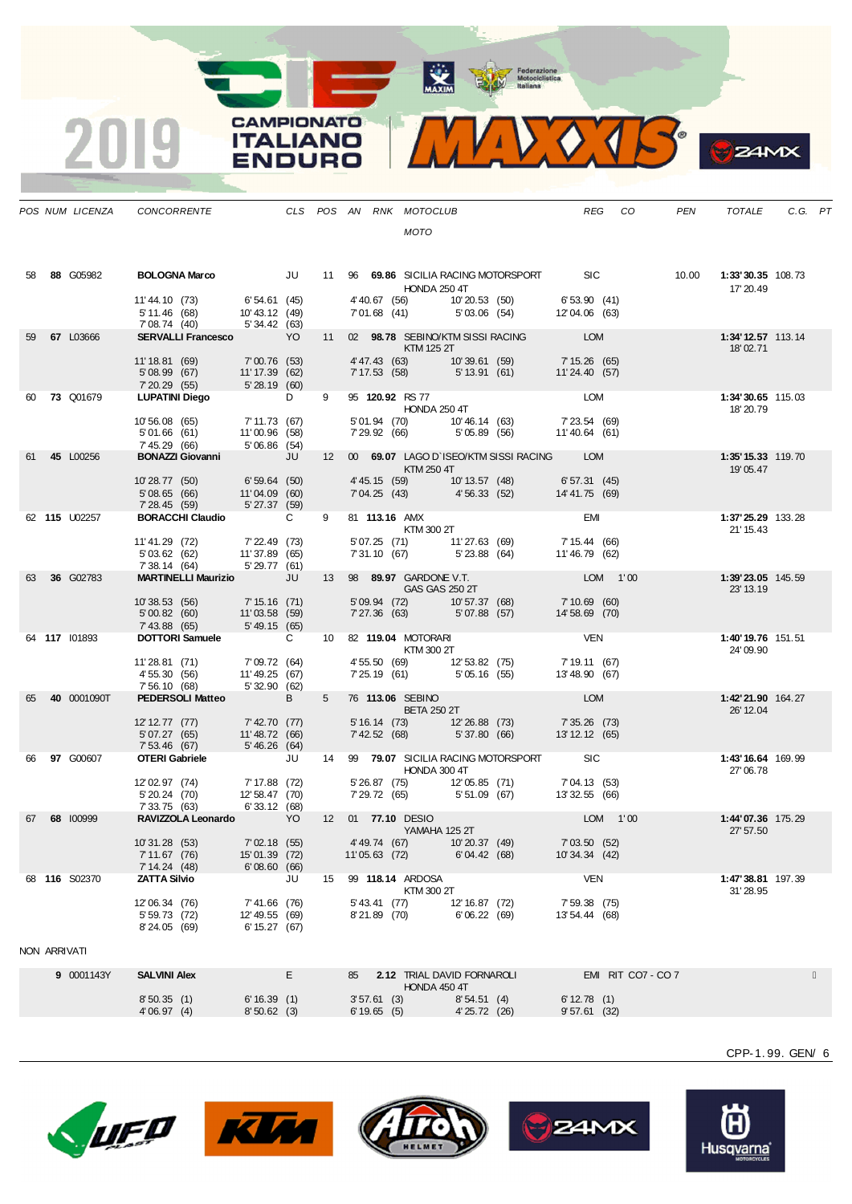MAXIM Rederazione



|              | POS NUM LICENZA | CONCORRENTE                                                                        |                                                                                                                          |     |             |               |                               | CLS POS AN RNK MOTOCLUB<br><b>MOTO</b>                                                                                                                                                                                                                                                                                                                                                                                                                                                     |                               |                                                                                                |                                | REG CO             | PEN | TOTALE                                | C.G. PT |  |
|--------------|-----------------|------------------------------------------------------------------------------------|--------------------------------------------------------------------------------------------------------------------------|-----|-------------|---------------|-------------------------------|--------------------------------------------------------------------------------------------------------------------------------------------------------------------------------------------------------------------------------------------------------------------------------------------------------------------------------------------------------------------------------------------------------------------------------------------------------------------------------------------|-------------------------------|------------------------------------------------------------------------------------------------|--------------------------------|--------------------|-----|---------------------------------------|---------|--|
| 58           | 88 G05982       | BOLOGNA Marco JU 11 96 69.86 SICILIA RACING MOTORSPORT SIC 10.00 1:33'30.35 108.73 |                                                                                                                          |     |             |               |                               |                                                                                                                                                                                                                                                                                                                                                                                                                                                                                            |                               |                                                                                                |                                |                    |     |                                       |         |  |
|              |                 |                                                                                    |                                                                                                                          |     |             |               |                               | HONDA 250 4T                                                                                                                                                                                                                                                                                                                                                                                                                                                                               |                               |                                                                                                |                                |                    |     | 17' 20.49                             |         |  |
|              |                 | 11'44.10 (73) 6'54.61 (45)<br>5' 11.46 (68)<br>7'08.74 (40)                        | 10' 43.12 (49)<br>5' 34.42 (63)                                                                                          |     |             |               |                               |                                                                                                                                                                                                                                                                                                                                                                                                                                                                                            |                               | 4' 40.67 (56) 10' 20.53 (50) 6' 53.90 (41)<br>7'01.68 (41) 5'03.06 (54) 12'04.06 (63)          |                                |                    |     |                                       |         |  |
| 59.          | 67 L03666       | <b>SERVALLI Francesco</b>                                                          |                                                                                                                          | YO. | 11          |               |                               | $\blacksquare$ $\blacksquare$ $\blacksquare$ $\blacksquare$ $\blacksquare$ $\blacksquare$ $\blacksquare$ $\blacksquare$ $\blacksquare$ $\blacksquare$ $\blacksquare$ $\blacksquare$ $\blacksquare$ $\blacksquare$ $\blacksquare$ $\blacksquare$ $\blacksquare$ $\blacksquare$ $\blacksquare$ $\blacksquare$ $\blacksquare$ $\blacksquare$ $\blacksquare$ $\blacksquare$ $\blacksquare$ $\blacksquare$ $\blacksquare$ $\blacksquare$ $\blacksquare$ $\blacksquare$ $\blacksquare$ $\blacks$ |                               | 02 98.78 SEBINO/KTM SISSI RACING LOM                                                           |                                |                    |     | 1:34'12.57 113.14<br>18'02.71         |         |  |
|              |                 | 11'18.81 (69)<br>5'08.99 (67)   11'17.39 (62)<br>7'20.29 (55)   5'28.19 (60)       | 7'00.76 (53)                                                                                                             |     |             |               |                               |                                                                                                                                                                                                                                                                                                                                                                                                                                                                                            |                               | 4' 47.43 (63) 10' 39.61 (59) 7' 15.26 (65)<br>7' 17.53 (58) 5' 13.91 (61) 11' 24.40 (57)       |                                |                    |     |                                       |         |  |
|              | 60 73 Q01679    | LUPATINI Diego DD                                                                  |                                                                                                                          |     | 9           |               |                               | 95 120.92 RS 77<br>HONDA 250 4T                                                                                                                                                                                                                                                                                                                                                                                                                                                            |                               | <b>EXAMPLE DESCRIPTION</b>                                                                     |                                |                    |     | 1:34'30.65 115.03<br>18' 20.79        |         |  |
|              |                 | 10'56.08 (65)<br>5'01.66(61)<br>7' 45.29 (66)                                      | 7' 11.73 (67)<br>11'00.96 (58)<br>5'06.86 (54)                                                                           |     |             |               |                               |                                                                                                                                                                                                                                                                                                                                                                                                                                                                                            |                               | 5'01.94 (70)    10'46.14 (63)    7'23.54 (69)<br>7'29.92 (66)    5'05.89 (56)    11'40.64 (61) |                                |                    |     |                                       |         |  |
|              | 61 45 L00256    | <b>BONAZZI Giovanni</b> JU                                                         |                                                                                                                          |     |             |               |                               | $\blacksquare$ $\blacksquare$ $\blacksquare$ $\blacksquare$ $\blacksquare$ $\blacksquare$ $\blacksquare$ $\blacksquare$ $\blacksquare$ $\blacksquare$ $\blacksquare$ $\blacksquare$ $\blacksquare$ $\blacksquare$ $\blacksquare$                                                                                                                                                                                                                                                           |                               | 12 00 69.07 LAGO D'ISEO/KTM SISSI RACING LOM                                                   |                                |                    |     | 1:35' 15.33 119.70<br>19'05.47        |         |  |
|              |                 | 10'28.77 (50) 6'59.64 (50)<br>5'08.65(66)<br>7' 28.45 (59)                         | $11'04.09$ (60)<br>$5'27.37$ (59)                                                                                        |     |             |               |                               |                                                                                                                                                                                                                                                                                                                                                                                                                                                                                            |                               | 4' 45.15 (59) 10' 13.57 (48) 6' 57.31 (45)<br>7'04.25 (43) 4'56.33 (52) 14'41.75 (69)          |                                |                    |     |                                       |         |  |
|              | 62 115 U02257   | <b>BORACCHI Claudio</b> C                                                          |                                                                                                                          |     | 9           |               |                               | 81 <b>113.16</b> AMX                                                                                                                                                                                                                                                                                                                                                                                                                                                                       |                               | $\overrightarrow{KTM}$ 300 2T                                                                  |                                |                    |     | 1:37'25.29 133.28<br>21' 15.43        |         |  |
|              |                 | 11'41.29 (72)<br>5'03.62 (62)<br>7' 38.14 (64)                                     | 7' 22.49 (73)<br>11' 37.89 (65)<br>5' 29.77 (61)                                                                         |     |             |               |                               | 5'07.25 (71) 11'27.63 (69)                                                                                                                                                                                                                                                                                                                                                                                                                                                                 |                               | $7'31.10(67)$ $5'23.88(64)$ $11'46.79(62)$                                                     | 7' 15.44 (66)                  |                    |     |                                       |         |  |
| 63           | 36 G02783       | MARTINELLI Maurizio JU                                                             |                                                                                                                          |     |             |               |                               | 13 98 <b>89.97</b> GARDONE V.T.<br>GAS GAS 250 2T                                                                                                                                                                                                                                                                                                                                                                                                                                          |                               |                                                                                                | LOM 1'00                       |                    |     | 1:39'23.05 145.59<br>23' 13.19        |         |  |
|              |                 | 10'38.53 (56) 7'15.16 (71)<br>5'00.82(60)<br>7'43.88 (65)                          | $11'03.58$ (59)<br>5'49.15 (65)                                                                                          |     |             |               |                               | 7'27.36 (63) 5'07.88 (57)                                                                                                                                                                                                                                                                                                                                                                                                                                                                  |                               | 5'09.94 (72)  10'57.37 (68)  7'10.69 (60)                                                      | $14'58.69$ (70)                |                    |     |                                       |         |  |
|              | 64 117 101893   | DOTTORI Samuele C                                                                  |                                                                                                                          |     |             |               |                               | 10 82 119.04 MOTORARI<br>KTM 300 2T                                                                                                                                                                                                                                                                                                                                                                                                                                                        |                               |                                                                                                | VEN                            |                    |     | <b>1:40'19.76</b> 151.51<br>24' 09.90 |         |  |
|              |                 | 11'28.81 (71)<br>4' 55.30 (56)<br>7' 56.10 (68)                                    | 7'09.72 (64)<br>11' 49.25 (67)<br>5' 32.90 (62)                                                                          |     |             |               |                               | 4' 55.50 (69) 12' 53.82 (75)<br>7' 25.19 (61) 5' 05.16 (55)                                                                                                                                                                                                                                                                                                                                                                                                                                |                               |                                                                                                | 7' 19.11 (67)<br>13'48.90 (67) |                    |     |                                       |         |  |
| 65           | 40 0001090T     | <b>PEDERSOLI Matteo</b> B                                                          |                                                                                                                          |     | $5^{\circ}$ |               |                               | 76 113.06 SEBINO<br><b>BETA 250 2T</b>                                                                                                                                                                                                                                                                                                                                                                                                                                                     |                               |                                                                                                | <b>LOM</b>                     |                    |     | 1:42'21.90 164.27<br>26' 12.04        |         |  |
|              |                 | 12'12.77 (77) 7'42.70 (77)<br>5'07.27 (65)<br>7' 53.46 (67)                        | $11'48.72$ (66)<br>5'46.26 (64)                                                                                          |     |             |               |                               |                                                                                                                                                                                                                                                                                                                                                                                                                                                                                            |                               |                                                                                                |                                |                    |     |                                       |         |  |
|              | 66 97 G00607    | <b>OTERI Gabriele</b> JU                                                           |                                                                                                                          |     |             |               |                               | HONDA 300 4T                                                                                                                                                                                                                                                                                                                                                                                                                                                                               |                               | 14 99 79.07 SICILIA RACING MOTORSPORT SIC                                                      |                                |                    |     | 1:43'16.64 169.99<br>27' 06.78        |         |  |
|              |                 | 12'02.97 (74)<br>5' 20.24 (70)<br>7'33.75 (63)                                     | 7' 17.88 (72)<br>$\begin{array}{ccc} 7 & 11.06 & 11.06 \\ 12' & 58.47 & (70) \\ 6' & 33.12 & (68) \\ & & 6' \end{array}$ |     |             |               |                               |                                                                                                                                                                                                                                                                                                                                                                                                                                                                                            |                               |                                                                                                |                                |                    |     |                                       |         |  |
| 67           | 68 100999       | RAVIZZOLA Leonardo YO                                                              |                                                                                                                          |     |             |               |                               | 12 01 <b>77.10</b> DESIO<br>YAMAHA 125 2T                                                                                                                                                                                                                                                                                                                                                                                                                                                  |                               |                                                                                                | LOM 1'00                       |                    |     | 1:44'07.36 175.29<br>27' 57.50        |         |  |
|              |                 | 10'31.28 (53)<br>7' 11.67 (76)<br>7'14.24(48)                                      | 7'02.18 (55)<br>15' 01.39 (72)<br>6'08.60(66)                                                                            |     |             | 11'05.63 (72) |                               | 4'49.74 (67) 10'20.37 (49)                                                                                                                                                                                                                                                                                                                                                                                                                                                                 | 6'04.42(68)                   |                                                                                                | 7'03.50(52)<br>10'34.34 (42)   |                    |     |                                       |         |  |
|              | 68 116 S02370   | <b>ZATTA Silvio</b>                                                                |                                                                                                                          | JU  | 15          |               |                               | 99 118.14 ARDOSA<br>KTM 300 2T                                                                                                                                                                                                                                                                                                                                                                                                                                                             |                               |                                                                                                | VEN                            |                    |     | 1:47'38.81 197.39<br>31'28.95         |         |  |
|              |                 | 12'06.34 (76)<br>5' 59.73 (72)<br>8'24.05 (69)                                     | $7' 41.66$ (76)<br>12' 49.55 (69)<br>6' 15.27 (67)                                                                       |     |             |               | 5' 43.41 (77)<br>8'21.89 (70) |                                                                                                                                                                                                                                                                                                                                                                                                                                                                                            | 12' 16.87 (72)<br>6'06.22(69) |                                                                                                | 7' 59.38 (75)<br>13'54.44 (68) |                    |     |                                       |         |  |
| NON ARRIVATI |                 |                                                                                    |                                                                                                                          |     |             |               |                               |                                                                                                                                                                                                                                                                                                                                                                                                                                                                                            |                               |                                                                                                |                                |                    |     |                                       |         |  |
|              | 9 0001143Y      | <b>SALVINI Alex</b>                                                                |                                                                                                                          | Е   |             | 85            |                               | 2.12 TRIAL DAVID FORNAROLI                                                                                                                                                                                                                                                                                                                                                                                                                                                                 |                               |                                                                                                |                                | EMI RIT CO7 - CO 7 |     |                                       |         |  |
|              |                 | 8'50.35(1)<br>4'06.97(4)                                                           | 6' 16.39(1)<br>8'50.62(3)                                                                                                |     |             |               | $3'57.61$ (3)<br>6'19.65(5)   | HONDA 450 4T                                                                                                                                                                                                                                                                                                                                                                                                                                                                               | 8'54.51(4)<br>4' 25.72 (26)   |                                                                                                | 6' 12.78(1)<br>9'57.61 (32)    |                    |     |                                       |         |  |

**CAMPIONATO** 

**ITALIANO** 

**ENDURO** 

2019